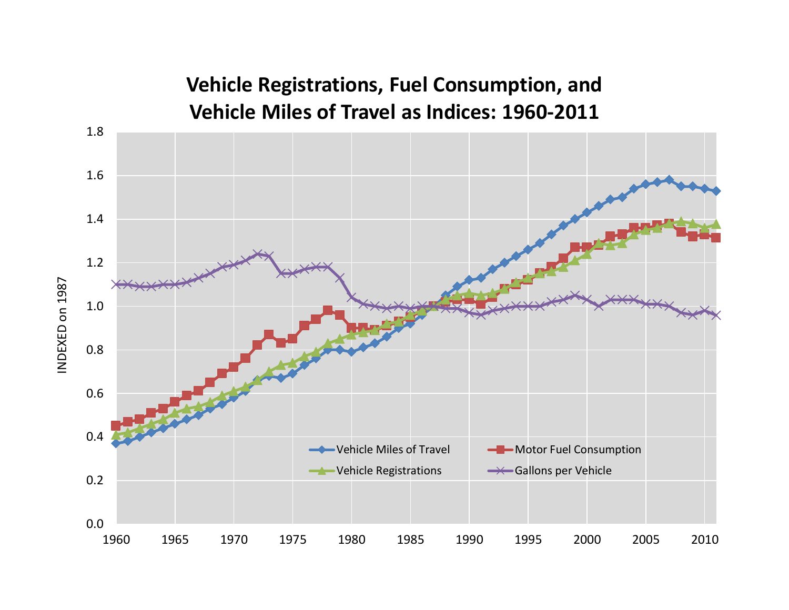